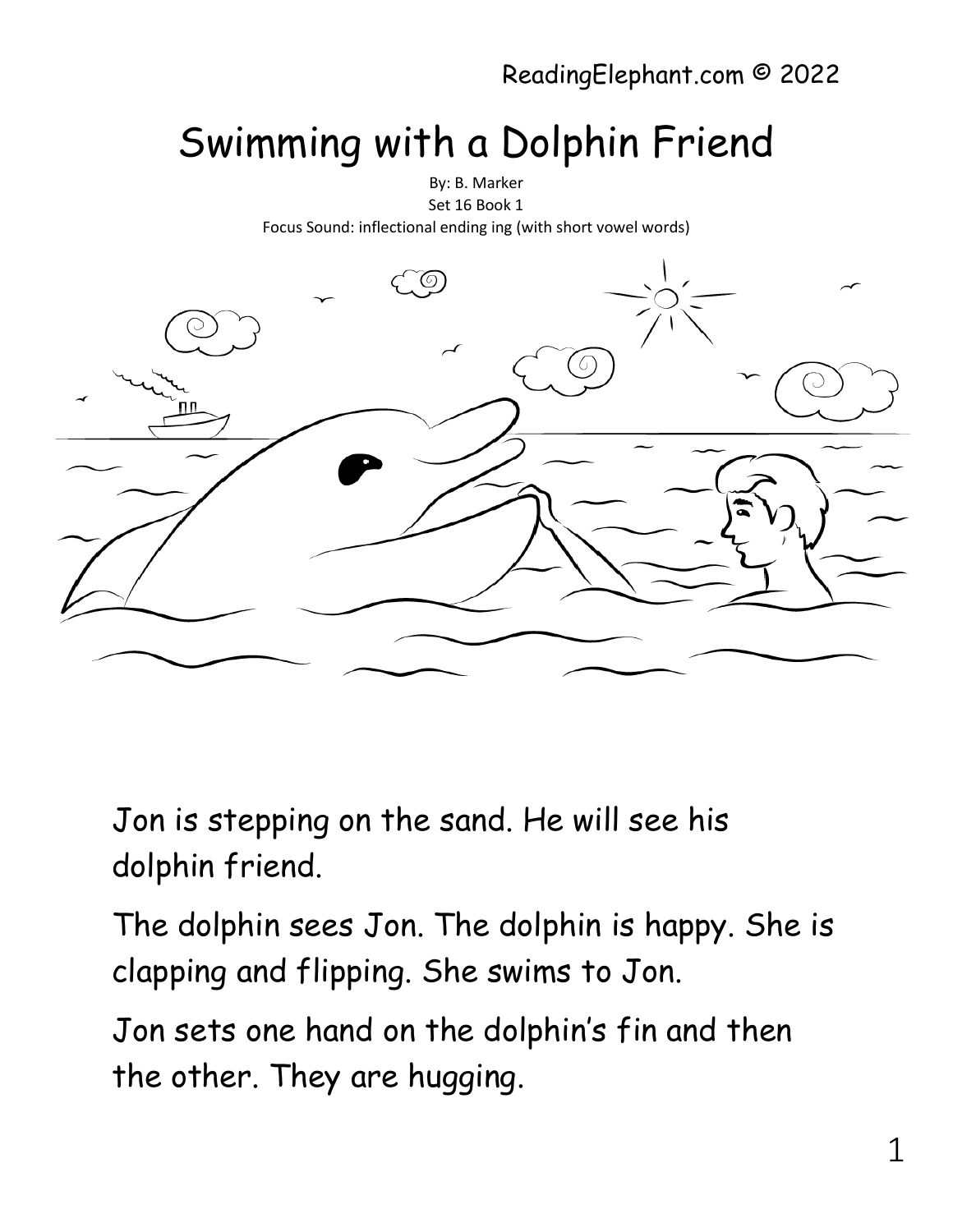## Swimming with a Dolphin Friend



Jon is stepping on the sand. He will see his dolphin friend.

The dolphin sees Jon. The dolphin is happy. She is clapping and flipping. She swims to Jon.

Jon sets one hand on the dolphin's fin and then the other. They are hugging.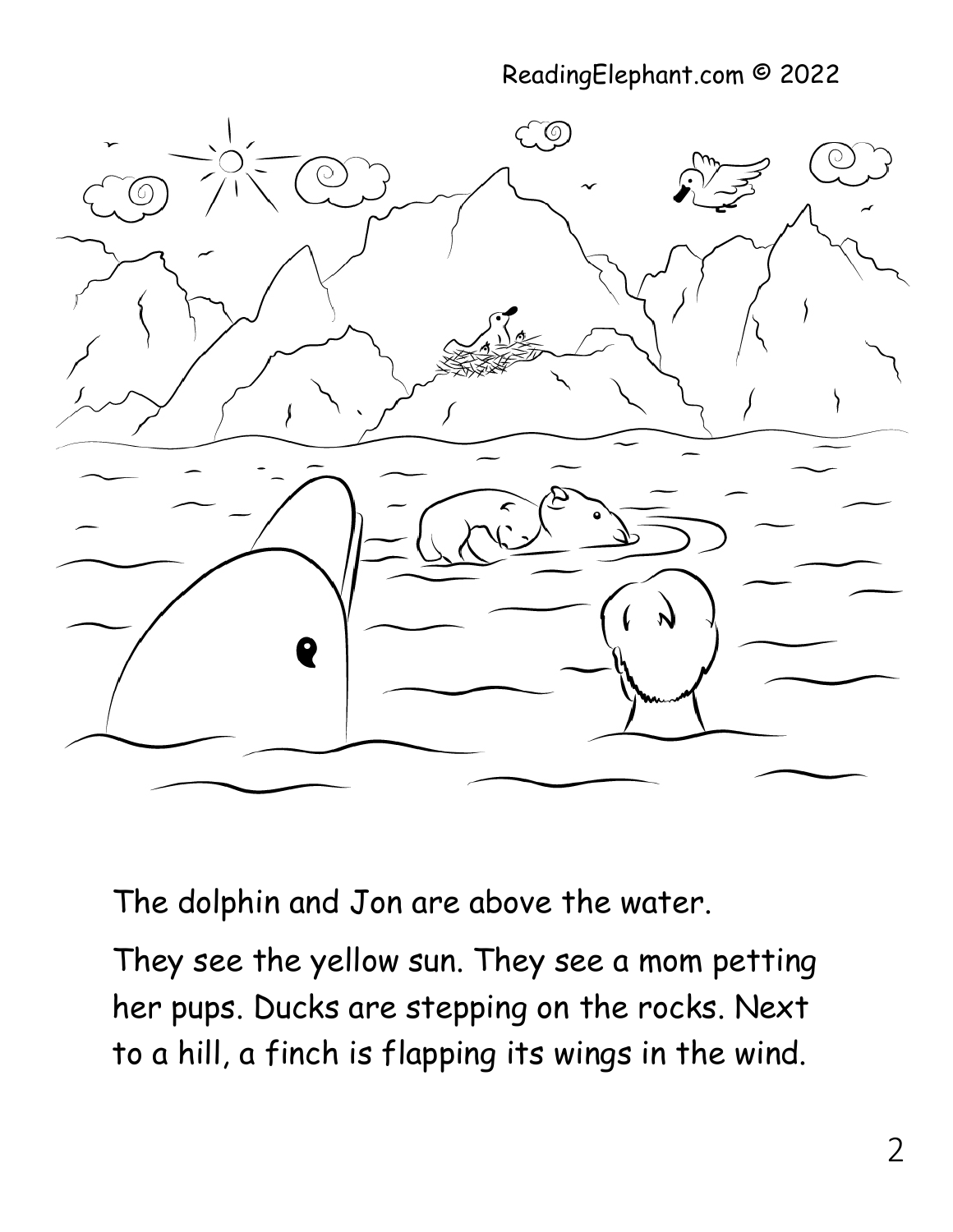## ReadingElephant.com © 2022



The dolphin and Jon are above the water.

They see the yellow sun. They see a mom petting her pups. Ducks are stepping on the rocks. Next to a hill, a finch is flapping its wings in the wind.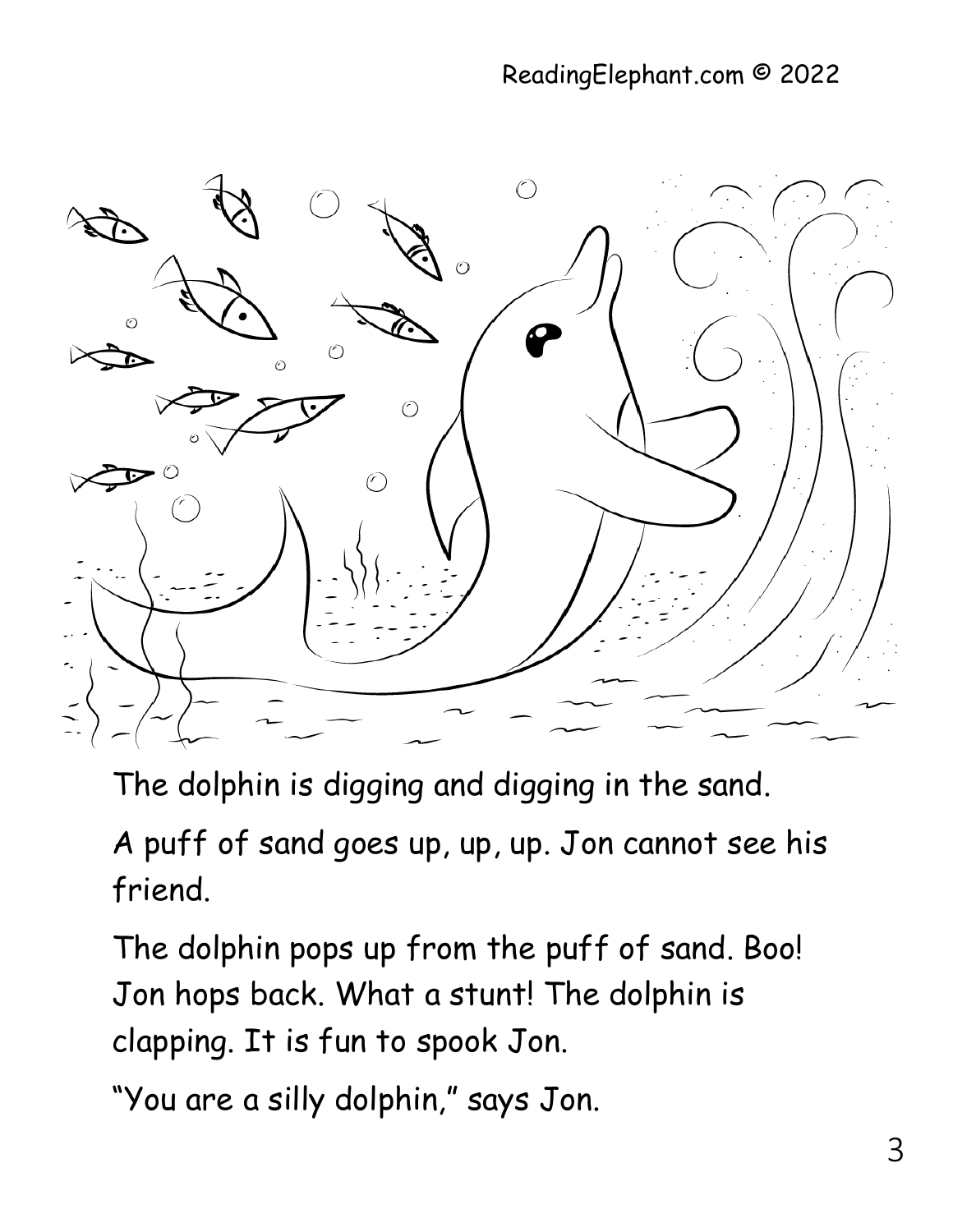

The dolphin is digging and digging in the sand.

A puff of sand goes up, up, up. Jon cannot see his friend.

The dolphin pops up from the puff of sand. Boo! Jon hops back. What a stunt! The dolphin is clapping. It is fun to spook Jon.

"You are a silly dolphin," says Jon.